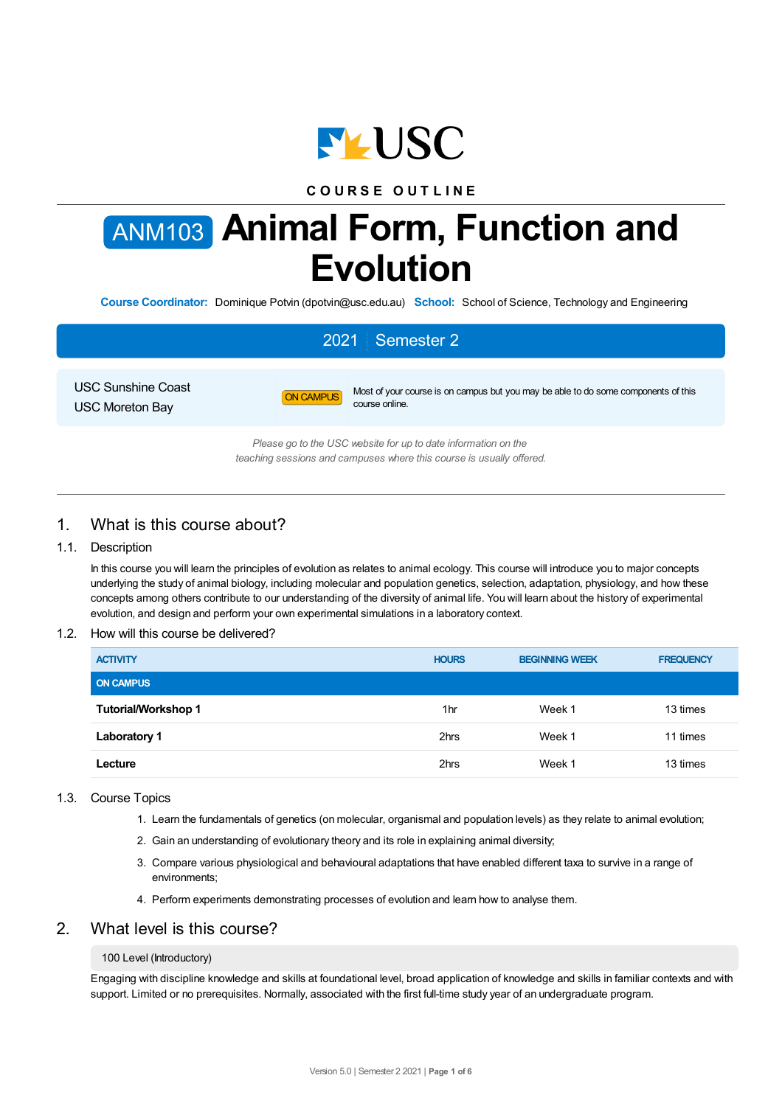

# **C O U R S E O U T L I N E**

# ANM103 **Animal Form, Function and Evolution**

**Course Coordinator:** Dominique Potvin (dpotvin@usc.edu.au) **School:** School of Science, Technology and Engineering

# 2021 Semester 2

USC Sunshine Coast USC Moreton Bay



ON CAMPUS Most of your course is on campus but you may be able to do some components of this course online.

*Please go to the USC website for up to date information on the teaching sessions and campuses where this course is usually offered.*

# 1. What is this course about?

## 1.1. Description

In this course you will learn the principles of evolution as relates to animal ecology. This course will introduce you to major concepts underlying the study of animal biology, including molecular and population genetics, selection, adaptation, physiology, and how these concepts among others contribute to our understanding of the diversity of animal life. You will learn about the history of experimental evolution, and design and perform your own experimental simulations in a laboratory context.

## 1.2. How will this course be delivered?

| <b>ACTIVITY</b>            | <b>HOURS</b> | <b>BEGINNING WEEK</b> | <b>FREQUENCY</b> |
|----------------------------|--------------|-----------------------|------------------|
| <b>ON CAMPUS</b>           |              |                       |                  |
| <b>Tutorial/Workshop 1</b> | 1hr          | Week 1                | 13 times         |
| <b>Laboratory 1</b>        | 2hrs         | Week 1                | 11 times         |
| Lecture                    | 2hrs         | Week 1                | 13 times         |

## 1.3. Course Topics

- 1. Learn the fundamentals of genetics (on molecular, organismal and population levels) as they relate to animal evolution;
- 2. Gain an understanding of evolutionary theory and its role in explaining animal diversity;
- 3. Compare various physiological and behavioural adaptations that have enabled different taxa to survive in a range of environments;
- 4. Perform experiments demonstrating processes of evolution and learn how to analyse them.

# 2. What level is this course?

#### 100 Level (Introductory)

Engaging with discipline knowledge and skills at foundational level, broad application of knowledge and skills in familiar contexts and with support. Limited or no prerequisites. Normally, associated with the first full-time study year of an undergraduate program.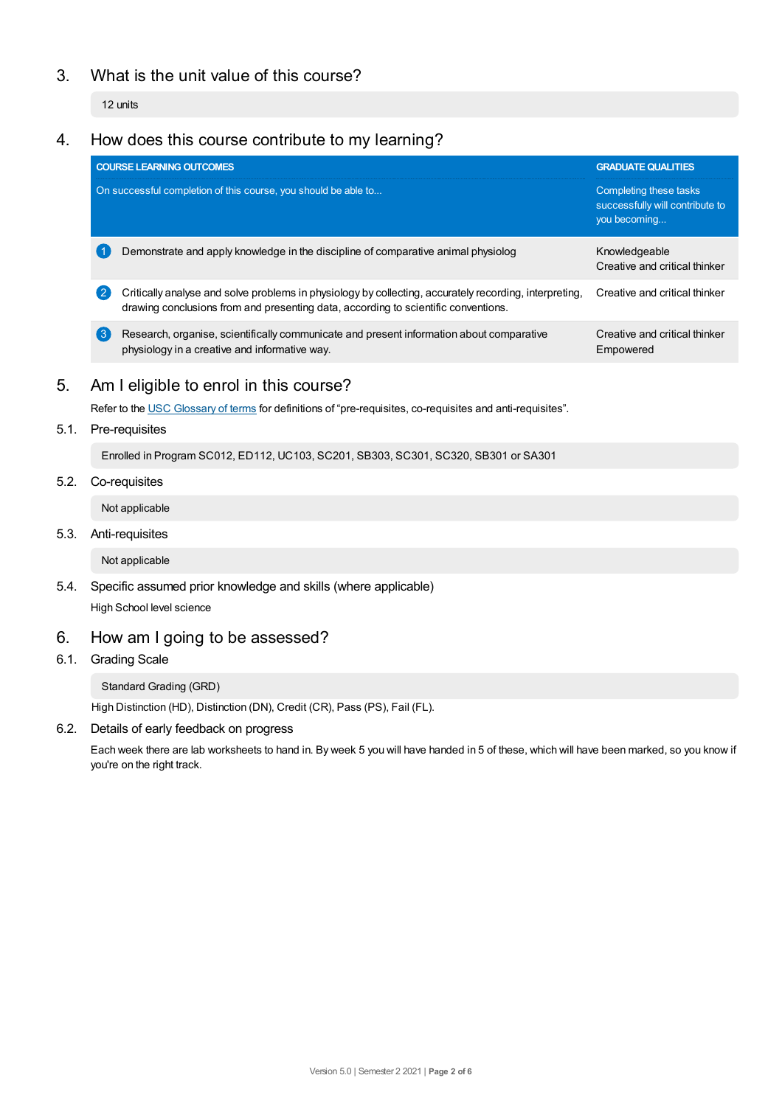# 3. What is the unit value of this course?

12 units

# 4. How does this course contribute to my learning?

|      |                  | <b>COURSE LEARNING OUTCOMES</b>                                                                                                                                                              | <b>GRADUATE QUALITIES</b>                                                 |  |  |  |  |
|------|------------------|----------------------------------------------------------------------------------------------------------------------------------------------------------------------------------------------|---------------------------------------------------------------------------|--|--|--|--|
|      |                  | On successful completion of this course, you should be able to                                                                                                                               | Completing these tasks<br>successfully will contribute to<br>you becoming |  |  |  |  |
|      |                  | Demonstrate and apply knowledge in the discipline of comparative animal physiolog                                                                                                            | Knowledgeable<br>Creative and critical thinker                            |  |  |  |  |
|      |                  | Critically analyse and solve problems in physiology by collecting, accurately recording, interpreting,<br>drawing conclusions from and presenting data, according to scientific conventions. | Creative and critical thinker                                             |  |  |  |  |
|      | $\left(3\right)$ | Research, organise, scientifically communicate and present information about comparative<br>physiology in a creative and informative way.                                                    | Creative and critical thinker<br>Empowered                                |  |  |  |  |
| 5.   |                  | Am I eligible to enrol in this course?                                                                                                                                                       |                                                                           |  |  |  |  |
|      |                  | Refer to the USC Glossary of terms for definitions of "pre-requisites, co-requisites and anti-requisites".                                                                                   |                                                                           |  |  |  |  |
| 5.1. |                  | Pre-requisites                                                                                                                                                                               |                                                                           |  |  |  |  |

Enrolled in Program SC012, ED112, UC103, SC201, SB303, SC301, SC320, SB301 or SA301

# 5.2. Co-requisites

Not applicable

5.3. Anti-requisites

Not applicable

5.4. Specific assumed prior knowledge and skills (where applicable) High School level science

# 6. How am Igoing to be assessed?

6.1. Grading Scale

Standard Grading (GRD)

High Distinction (HD), Distinction (DN), Credit (CR), Pass (PS), Fail (FL).

6.2. Details of early feedback on progress

Each week there are lab worksheets to hand in. By week 5 you will have handed in 5 of these, which will have been marked, so you know if you're on the right track.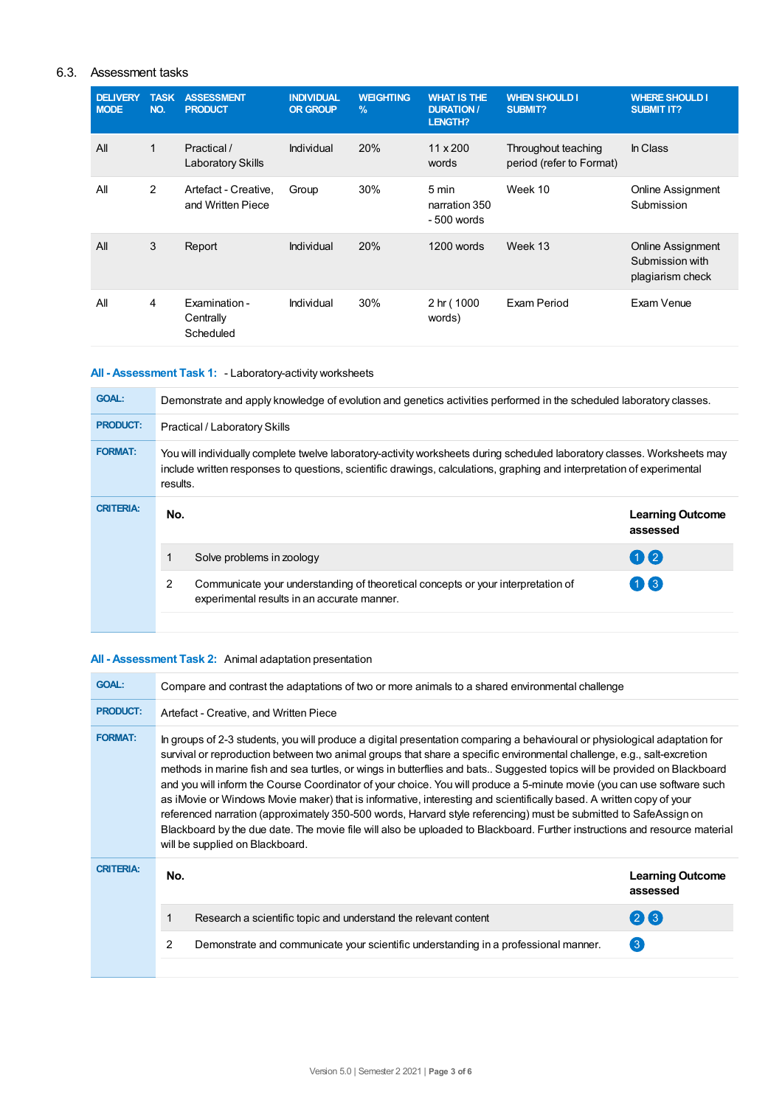# 6.3. Assessment tasks

| <b>DELIVERY</b><br><b>MODE</b> | <b>TASK</b><br>NO. | <b>ASSESSMENT</b><br><b>PRODUCT</b>       | <b>INDIVIDUAL</b><br><b>OR GROUP</b> | <b>WEIGHTING</b><br>$\%$ | <b>WHAT IS THE</b><br><b>DURATION /</b><br>LENGTH? | <b>WHEN SHOULD I</b><br>SUBMIT?                 | <b>WHERE SHOULD I</b><br><b>SUBMIT IT?</b>               |
|--------------------------------|--------------------|-------------------------------------------|--------------------------------------|--------------------------|----------------------------------------------------|-------------------------------------------------|----------------------------------------------------------|
| All                            | $\mathbf{1}$       | Practical /<br><b>Laboratory Skills</b>   | Individual                           | 20%                      | $11 \times 200$<br>words                           | Throughout teaching<br>period (refer to Format) | In Class                                                 |
| All                            | 2                  | Artefact - Creative,<br>and Written Piece | Group                                | 30%                      | 5 min<br>narration 350<br>$-500$ words             | Week 10                                         | Online Assignment<br>Submission                          |
| All                            | 3                  | Report                                    | Individual                           | 20%                      | 1200 words                                         | Week 13                                         | Online Assignment<br>Submission with<br>plagiarism check |
| All                            | 4                  | Examination -<br>Centrally<br>Scheduled   | Individual                           | 30%                      | 2 hr (1000<br>words)                               | Exam Period                                     | Exam Venue                                               |

# **All - Assessment Task 1:** - Laboratory-activity worksheets

| <b>GOAL:</b>     | Demonstrate and apply knowledge of evolution and genetics activities performed in the scheduled laboratory classes.                                                                                                                                            |                                                                                                                                 |                                     |  |  |
|------------------|----------------------------------------------------------------------------------------------------------------------------------------------------------------------------------------------------------------------------------------------------------------|---------------------------------------------------------------------------------------------------------------------------------|-------------------------------------|--|--|
| <b>PRODUCT:</b>  | <b>Practical / Laboratory Skills</b>                                                                                                                                                                                                                           |                                                                                                                                 |                                     |  |  |
| <b>FORMAT:</b>   | You will individually complete twelve laboratory-activity worksheets during scheduled laboratory classes. Worksheets may<br>include written responses to questions, scientific drawings, calculations, graphing and interpretation of experimental<br>results. |                                                                                                                                 |                                     |  |  |
| <b>CRITERIA:</b> | No.                                                                                                                                                                                                                                                            |                                                                                                                                 | <b>Learning Outcome</b><br>assessed |  |  |
|                  |                                                                                                                                                                                                                                                                | Solve problems in zoology                                                                                                       | $\mathbf{0}$                        |  |  |
|                  | 2                                                                                                                                                                                                                                                              | Communicate your understanding of theoretical concepts or your interpretation of<br>experimental results in an accurate manner. | $\left( 1\right)$                   |  |  |
|                  |                                                                                                                                                                                                                                                                |                                                                                                                                 |                                     |  |  |

# **All - Assessment Task 2:** Animal adaptation presentation

| <b>GOAL:</b>     | Compare and contrast the adaptations of two or more animals to a shared environmental challenge                                                                                                                                                                                                                                                                                                                                                                                                                                                                                                                                                                                                                                                                                                                                                                                                                         |                                     |  |  |  |
|------------------|-------------------------------------------------------------------------------------------------------------------------------------------------------------------------------------------------------------------------------------------------------------------------------------------------------------------------------------------------------------------------------------------------------------------------------------------------------------------------------------------------------------------------------------------------------------------------------------------------------------------------------------------------------------------------------------------------------------------------------------------------------------------------------------------------------------------------------------------------------------------------------------------------------------------------|-------------------------------------|--|--|--|
| <b>PRODUCT:</b>  | Artefact - Creative, and Written Piece                                                                                                                                                                                                                                                                                                                                                                                                                                                                                                                                                                                                                                                                                                                                                                                                                                                                                  |                                     |  |  |  |
| <b>FORMAT:</b>   | In groups of 2-3 students, you will produce a digital presentation comparing a behavioural or physiological adaptation for<br>survival or reproduction between two animal groups that share a specific environmental challenge, e.g., salt-excretion<br>methods in marine fish and sea turtles, or wings in butterflies and bats Suggested topics will be provided on Blackboard<br>and you will inform the Course Coordinator of your choice. You will produce a 5-minute movie (you can use software such<br>as iMovie or Windows Movie maker) that is informative, interesting and scientifically based. A written copy of your<br>referenced narration (approximately 350-500 words, Harvard style referencing) must be submitted to SafeAssign on<br>Blackboard by the due date. The movie file will also be uploaded to Blackboard. Further instructions and resource material<br>will be supplied on Blackboard. |                                     |  |  |  |
| <b>CRITERIA:</b> | No.                                                                                                                                                                                                                                                                                                                                                                                                                                                                                                                                                                                                                                                                                                                                                                                                                                                                                                                     | <b>Learning Outcome</b><br>assessed |  |  |  |
|                  | Research a scientific topic and understand the relevant content                                                                                                                                                                                                                                                                                                                                                                                                                                                                                                                                                                                                                                                                                                                                                                                                                                                         | $(2)$ $(3)$                         |  |  |  |
|                  | 2<br>Demonstrate and communicate your scientific understanding in a professional manner.                                                                                                                                                                                                                                                                                                                                                                                                                                                                                                                                                                                                                                                                                                                                                                                                                                | $\left(3\right)$                    |  |  |  |
|                  |                                                                                                                                                                                                                                                                                                                                                                                                                                                                                                                                                                                                                                                                                                                                                                                                                                                                                                                         |                                     |  |  |  |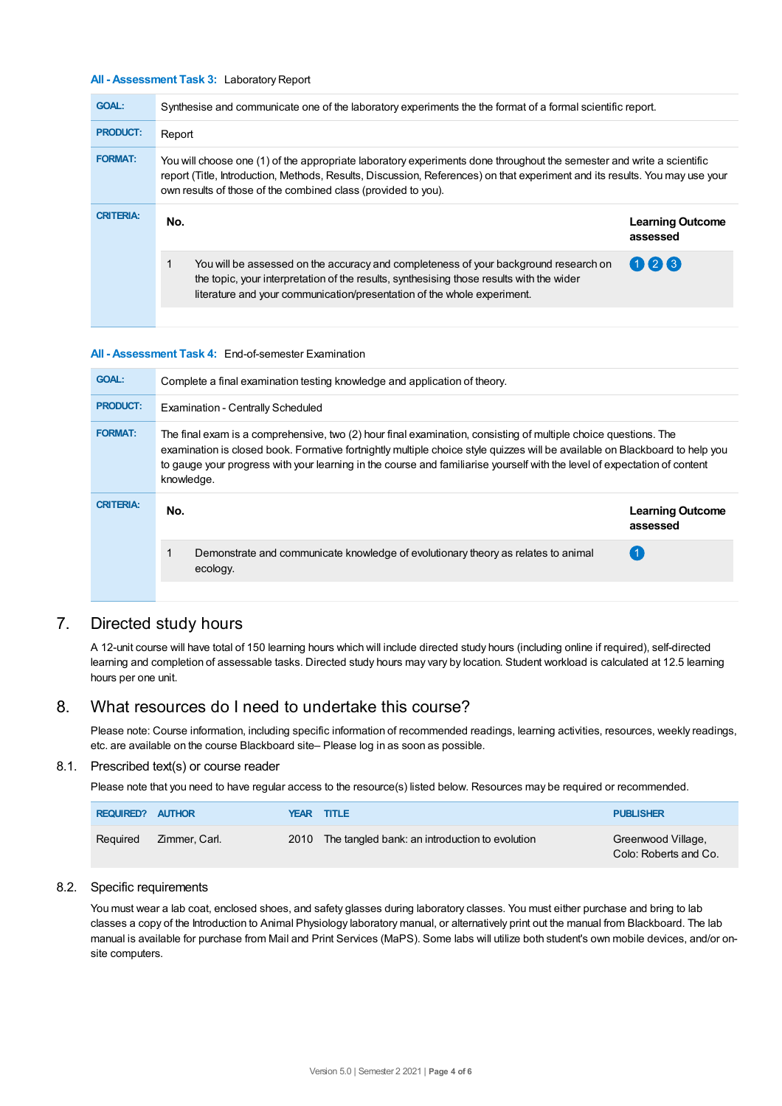#### **All - Assessment Task 3:** Laboratory Report

| <b>GOAL:</b>     | Synthesise and communicate one of the laboratory experiments the the format of a formal scientific report.                                                                                                                                                                                                            |                                     |  |  |
|------------------|-----------------------------------------------------------------------------------------------------------------------------------------------------------------------------------------------------------------------------------------------------------------------------------------------------------------------|-------------------------------------|--|--|
| <b>PRODUCT:</b>  | Report                                                                                                                                                                                                                                                                                                                |                                     |  |  |
| <b>FORMAT:</b>   | You will choose one (1) of the appropriate laboratory experiments done throughout the semester and write a scientific<br>report (Title, Introduction, Methods, Results, Discussion, References) on that experiment and its results. You may use your<br>own results of those of the combined class (provided to you). |                                     |  |  |
| <b>CRITERIA:</b> | No.                                                                                                                                                                                                                                                                                                                   | <b>Learning Outcome</b><br>assessed |  |  |
|                  | $\mathbf{1}$<br>You will be assessed on the accuracy and completeness of your background research on<br>the topic, your interpretation of the results, synthesising those results with the wider<br>literature and your communication/presentation of the whole experiment.                                           | 023                                 |  |  |
|                  |                                                                                                                                                                                                                                                                                                                       |                                     |  |  |

#### **All - Assessment Task 4:** End-of-semester Examination

| <b>GOAL:</b>     | Complete a final examination testing knowledge and application of theory.                                                                                                                                                                                                                                                                                                                 |                                     |  |  |  |
|------------------|-------------------------------------------------------------------------------------------------------------------------------------------------------------------------------------------------------------------------------------------------------------------------------------------------------------------------------------------------------------------------------------------|-------------------------------------|--|--|--|
| <b>PRODUCT:</b>  | <b>Examination - Centrally Scheduled</b>                                                                                                                                                                                                                                                                                                                                                  |                                     |  |  |  |
| <b>FORMAT:</b>   | The final exam is a comprehensive, two (2) hour final examination, consisting of multiple choice questions. The<br>examination is closed book. Formative fortnightly multiple choice style quizzes will be available on Blackboard to help you<br>to gauge your progress with your learning in the course and familiarise yourself with the level of expectation of content<br>knowledge. |                                     |  |  |  |
| <b>CRITERIA:</b> |                                                                                                                                                                                                                                                                                                                                                                                           |                                     |  |  |  |
|                  | No.                                                                                                                                                                                                                                                                                                                                                                                       | <b>Learning Outcome</b><br>assessed |  |  |  |
|                  | 1<br>Demonstrate and communicate knowledge of evolutionary theory as relates to animal<br>ecology.                                                                                                                                                                                                                                                                                        |                                     |  |  |  |

# 7. Directed study hours

A 12-unit course will have total of 150 learning hours which will include directed study hours (including online if required), self-directed learning and completion of assessable tasks. Directed study hours may vary by location. Student workload is calculated at 12.5 learning hours per one unit.

# 8. What resources do I need to undertake this course?

Please note: Course information, including specific information of recommended readings, learning activities, resources, weekly readings, etc. are available on the course Blackboard site– Please log in as soon as possible.

#### 8.1. Prescribed text(s) or course reader

Please note that you need to have regular access to the resource(s) listed below. Resources may be required or recommended.

| REQUIRED? AUTHOR |               | <b>YEAR TITLE</b>                                   | <b>PUBLISHER</b>                            |
|------------------|---------------|-----------------------------------------------------|---------------------------------------------|
| Reguired         | Zimmer, Carl. | 2010 The tangled bank: an introduction to evolution | Greenwood Village,<br>Colo: Roberts and Co. |

#### 8.2. Specific requirements

You must wear a lab coat, enclosed shoes, and safety glasses during laboratory classes. You must either purchase and bring to lab classes a copy of the Introduction to Animal Physiology laboratory manual, or alternatively print out the manual from Blackboard. The lab manual is available for purchase from Mail and Print Services (MaPS). Some labs will utilize both student's own mobile devices, and/or onsite computers.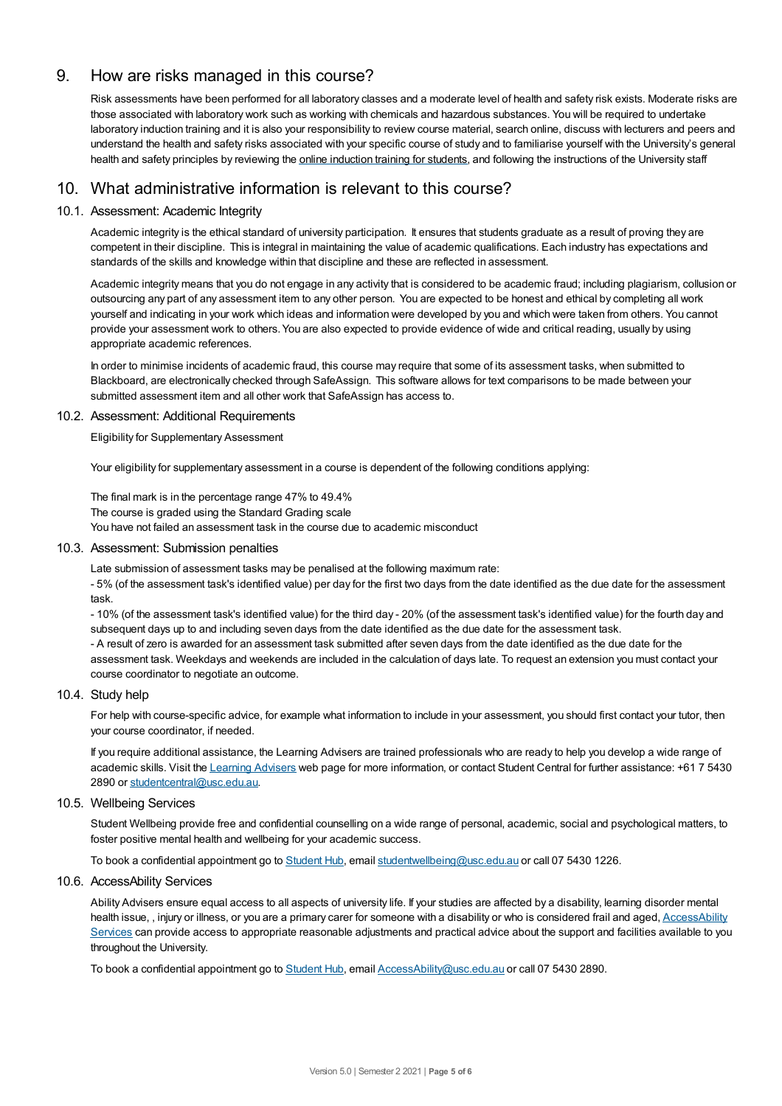# 9. How are risks managed in this course?

Risk assessments have been performed for all laboratory classes and a moderate level of health and safety risk exists. Moderate risks are those associated with laboratory work such as working with chemicals and hazardous substances. You will be required to undertake laboratory induction training and it is also your responsibility to review course material, search online, discuss with lecturers and peers and understand the health and safety risks associated with your specific course of study and to familiarise yourself with the University's general health and safety principles by reviewing the online [induction](https://online.usc.edu.au/webapps/blackboard/content/listContentEditable.jsp?content_id=_632657_1&course_id=_14432_1) training for students, and following the instructions of the University staff

# 10. What administrative information is relevant to this course?

## 10.1. Assessment: Academic Integrity

Academic integrity is the ethical standard of university participation. It ensures that students graduate as a result of proving they are competent in their discipline. This is integral in maintaining the value of academic qualifications. Each industry has expectations and standards of the skills and knowledge within that discipline and these are reflected in assessment.

Academic integrity means that you do not engage in any activity that is considered to be academic fraud; including plagiarism, collusion or outsourcing any part of any assessment item to any other person. You are expected to be honest and ethical by completing all work yourself and indicating in your work which ideas and information were developed by you and which were taken from others. You cannot provide your assessment work to others.You are also expected to provide evidence of wide and critical reading, usually by using appropriate academic references.

In order to minimise incidents of academic fraud, this course may require that some of its assessment tasks, when submitted to Blackboard, are electronically checked through SafeAssign. This software allows for text comparisons to be made between your submitted assessment item and all other work that SafeAssign has access to.

## 10.2. Assessment: Additional Requirements

Eligibility for Supplementary Assessment

Your eligibility for supplementary assessment in a course is dependent of the following conditions applying:

The final mark is in the percentage range 47% to 49.4% The course is graded using the Standard Grading scale You have not failed an assessment task in the course due to academic misconduct

## 10.3. Assessment: Submission penalties

Late submission of assessment tasks may be penalised at the following maximum rate:

- 5% (of the assessment task's identified value) per day for the first two days from the date identified as the due date for the assessment task.

- 10% (of the assessment task's identified value) for the third day - 20% (of the assessment task's identified value) for the fourth day and subsequent days up to and including seven days from the date identified as the due date for the assessment task.

- A result of zero is awarded for an assessment task submitted after seven days from the date identified as the due date for the assessment task. Weekdays and weekends are included in the calculation of days late. To request an extension you must contact your course coordinator to negotiate an outcome.

## 10.4. Study help

For help with course-specific advice, for example what information to include in your assessment, you should first contact your tutor, then your course coordinator, if needed.

If you require additional assistance, the Learning Advisers are trained professionals who are ready to help you develop a wide range of academic skills. Visit the Learning [Advisers](https://www.usc.edu.au/current-students/student-support/academic-and-study-support/learning-advisers) web page for more information, or contact Student Central for further assistance: +61 7 5430 2890 or [studentcentral@usc.edu.au](mailto:studentcentral@usc.edu.au).

## 10.5. Wellbeing Services

Student Wellbeing provide free and confidential counselling on a wide range of personal, academic, social and psychological matters, to foster positive mental health and wellbeing for your academic success.

To book a confidential appointment go to [Student](https://studenthub.usc.edu.au/) Hub, email [studentwellbeing@usc.edu.au](mailto:studentwellbeing@usc.edu.au) or call 07 5430 1226.

## 10.6. AccessAbility Services

Ability Advisers ensure equal access to all aspects of university life. If your studies are affected by a disability, learning disorder mental health issue, , injury or illness, or you are a primary carer for someone with a disability or who is considered frail and aged, [AccessAbility](https://www.usc.edu.au/learn/student-support/accessability-services/documentation-requirements) Services can provide access to appropriate reasonable adjustments and practical advice about the support and facilities available to you throughout the University.

To book a confidential appointment go to [Student](https://studenthub.usc.edu.au/) Hub, email [AccessAbility@usc.edu.au](mailto:AccessAbility@usc.edu.au) or call 07 5430 2890.